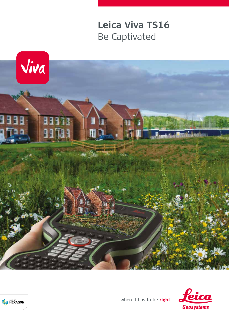## **Leica Viva TS16** Be Captivated







- when it has to be right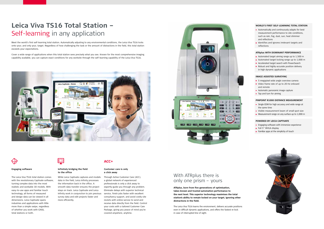# **Leica Viva TS16 Total Station –**  Self-learning in any application

Meet the world's first self-learning total station. Automatically adjusting to any environmental conditions, the Leica Viva TS16 locks onto your, and only your, target. Regardless of how challenging the task or the amount of distractions in the field, this total station exceeds your expectations.

Cover a wide range of applications when this total station sees precisely what you see. Known for the most comprehensive imaging capability available, you can capture exact conditions for any worksite through the self-learning capability of the Leica Viva TS16.





#### **Engaging software**

The Leica Viva TS16 total station comes with the revolutionary Captivate software, turning complex data into the most realistic and workable 3D models. With easy-to-use apps and familiar touch technology, all forms of measured and design data can be viewed in all dimensions. Leica Captivate spans industries and applications with little more than a simple swipe, regardless of whether you work with GNSS, total stations or both.



## **Infinitely bridging the field to the office**

While Leica Captivate captures and models data in the field, Leica Infinity processes the information back in the office. A smooth data transfer ensures the project stays on track. Leica Captivate and Leica Infinity work in conjunction to join previous survey data and edit projects faster and more efficiently.

## **ACC**<sup>></sup>

- **Automatically and continuously adapts for best** measurement performance to site conditions, such as rain, fog, dust, sun, heat shimmer and reflections
- **I** Identifies and ignores irrelevant targets and reflections

#### **Customer care is only a click away**

- Automated target aiming range up to 1.500 m
- Automated target locking range up to 1,000 m
- **Accelerated target search with PowerSearch**
- Robust and highly-accurate position delivery in high dynamic applications

Through Active Customer Care (ACC), a global network of experienced professionals is only a click away to expertly guide you through any problem. Eliminate delays with superior technical service, finish jobs faster with excellent consultancy support, and avoid costly site revisits with online service to send and receive data directly from the field. Control your costs with a tailored Customer Care Package, giving you peace of mind you're covered anywhere, anytime.



**ATRplus, born from five generations of optimisation, takes known and trusted automation performance to the next level. This superior technology maximises the total station's ability to remain locked on your target, ignoring other distractions in the field.** 

The Leica Viva TS16 learns the environment, delivers accurate positions even in difficult dynamic applications, and offers the fastest re-lock in case of interrupted line of sight.



#### **WORLD'S FIRST SELF-LEARNING TOTAL STATION**

### **ATRplus WITH DOMINANT PERFORMANCE**

## **IMAGE ASSISTED SURVEYING**

- **5** megapixel wide angle overview camera
- Video frame rate of up to 20 Hz onboard and remote
- **Automatic panoramic image capture**
- **Tap and turn for aiming**

## **PINPOINT R1000 DISTANCE MEASUREMENT**

- **Single EDM** for high accuracy and wide range at the same time
- Visible measurement beam of small spot size
- **Measurement range on any surface up to 1,000 m**

## **POWERED BY LEICA CAPTIVATE**

- **Engaging software with immersive experience**
- **Full 5" WVGA display**
- Familiar apps at the simplicity of touch